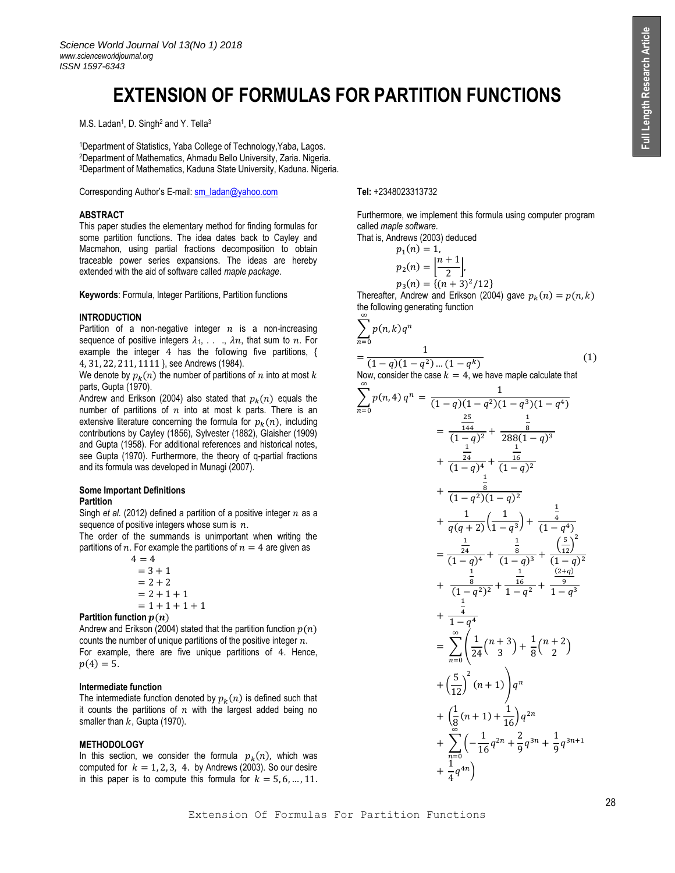# **EXTENSION OF FORMULAS FOR PARTITION FUNCTIONS**

M.S. Ladan<sup>1</sup>, D. Singh<sup>2</sup> and Y. Tella<sup>3</sup>

<sup>1</sup>Department of Statistics, Yaba College of Technology,Yaba, Lagos. <sup>2</sup>Department of Mathematics, Ahmadu Bello University, Zaria. Nigeria. <sup>3</sup>Department of Mathematics, Kaduna State University, Kaduna. Nigeria.

Corresponding Author's E-mail[: sm\\_ladan@yahoo.com](mailto:sm_ladan@yahoo.com) **Tel:** +2348023313732

# **ABSTRACT**

This paper studies the elementary method for finding formulas for some partition functions. The idea dates back to Cayley and Macmahon, using partial fractions decomposition to obtain traceable power series expansions. The ideas are hereby extended with the aid of software called *maple package*.

**Keywords**: Formula, Integer Partitions, Partition functions

# **INTRODUCTION**

Partition of a non-negative integer  $n$  is a non-increasing sequence of positive integers  $\lambda_1, \ldots, \lambda_n$ , that sum to n. For example the integer 4 has the following five partitions, { 4, 31, 22, 211, 1111 }, see Andrews (1984).

We denote by  $p_k(n)$  the number of partitions of  $n$  into at most  $k$ parts, Gupta (1970).

Andrew and Erikson (2004) also stated that  $p_k(n)$  equals the number of partitions of  $n$  into at most k parts. There is an extensive literature concerning the formula for  $p_k(n)$ , including contributions by Cayley (1856), Sylvester (1882), Glaisher (1909) and Gupta (1958). For additional references and historical notes, see Gupta (1970). Furthermore, the theory of q-partial fractions and its formula was developed in Munagi (2007).

# **Some Important Definitions Partition**

Singh *et al.* (2012) defined a partition of a positive integer  $n$  as a sequence of positive integers whose sum is  $n$ .

The order of the summands is unimportant when writing the partitions of n. For example the partitions of  $n = 4$  are given as

$$
4 = 4
$$
  
= 3 + 1  
= 2 + 2  
= 2 + 1 + 1  
= 1 + 1 + 1 + 1

**Partition function**  $p(n)$ 

Andrew and Erikson (2004) stated that the partition function  $p(n)$ counts the number of unique partitions of the positive integer  $n$ . For example, there are five unique partitions of 4. Hence,  $p(4) = 5.$ 

### **Intermediate function**

The intermediate function denoted by  $p_k(n)$  is defined such that it counts the partitions of  $n$  with the largest added being no smaller than  $k$ , Gupta (1970).

### **METHODOLOGY**

In this section, we consider the formula  $p_k(n)$ , which was computed for  $k = 1, 2, 3, 4$ . by Andrews (2003). So our desire in this paper is to compute this formula for  $k = 5, 6, ..., 11$ .

Furthermore, we implement this formula using computer program called *maple software*.

That is, Andrews (2003) deduced

$$
p_1(n) = 1,
$$
  
\n
$$
p_2(n) = \left|\frac{n+1}{2}\right|,
$$
  
\n
$$
p_3(n) = \{(n+3)^2/12\}
$$

Thereafter, Andrew and Erikson (2004) gave  $p_k(n) = p(n, k)$ the following generating function

$$
\sum_{n=0}^{\infty} p(n,k)q^n
$$
  
= 
$$
\frac{1}{(1-q)(1-q^2)...(1-q^k)}
$$
 (1)

Now, consider the case 
$$
k = 4
$$
, we have map the calculate that

$$
\sum_{n=0}^{n} p(n,4) q^{n} = \frac{1}{(1-q)(1-q^{2})(1-q^{3})(1-q^{4})}
$$
\n
$$
= \frac{\frac{25}{144}}{(1-q)^{2}} + \frac{\frac{1}{8}}{288(1-q)^{3}}
$$
\n
$$
+ \frac{\frac{1}{24}}{(1-q)^{4}} + \frac{\frac{1}{16}}{(1-q)^{2}}
$$
\n
$$
+ \frac{\frac{1}{8}}{(1-q^{2})(1-q)^{2}}
$$
\n
$$
+ \frac{1}{q(q+2)(1-q)^{2}}
$$
\n
$$
+ \frac{\frac{1}{q(q+2)(1-q)^{3}}}{(1-q)^{3}} + \frac{\frac{1}{q}}{(1-q)^{2}}
$$
\n
$$
+ \frac{\frac{1}{8}}{(1-q)^{2}} + \frac{\frac{1}{16}}{(1-q)^{2}} + \frac{\frac{(2+q)}{(2+q)^{2}}}{(1-q^{2})^{2}} + \frac{\frac{1}{16}}{1-q^{2}} + \frac{\frac{(2+q)}{9}}{1-q^{3}}
$$
\n
$$
+ \frac{\frac{1}{4}}{1-q^{4}}
$$
\n
$$
= \sum_{n=0}^{\infty} \left(\frac{1}{24}\binom{n+3}{3} + \frac{1}{8}\binom{n+2}{2}\right)
$$
\n
$$
+ \left(\frac{5}{12}\right)^{2}(n+1)\right) q^{n}
$$
\n
$$
+ \left(\frac{1}{8}(n+1) + \frac{1}{16}\right) q^{2n}
$$
\n
$$
+ \sum_{n=0}^{\infty} \left(-\frac{1}{16}q^{2n} + \frac{2}{9}q^{3n} + \frac{1}{9}q^{3n+1}
$$
\n
$$
+ \frac{1}{4}q^{4n}\right)
$$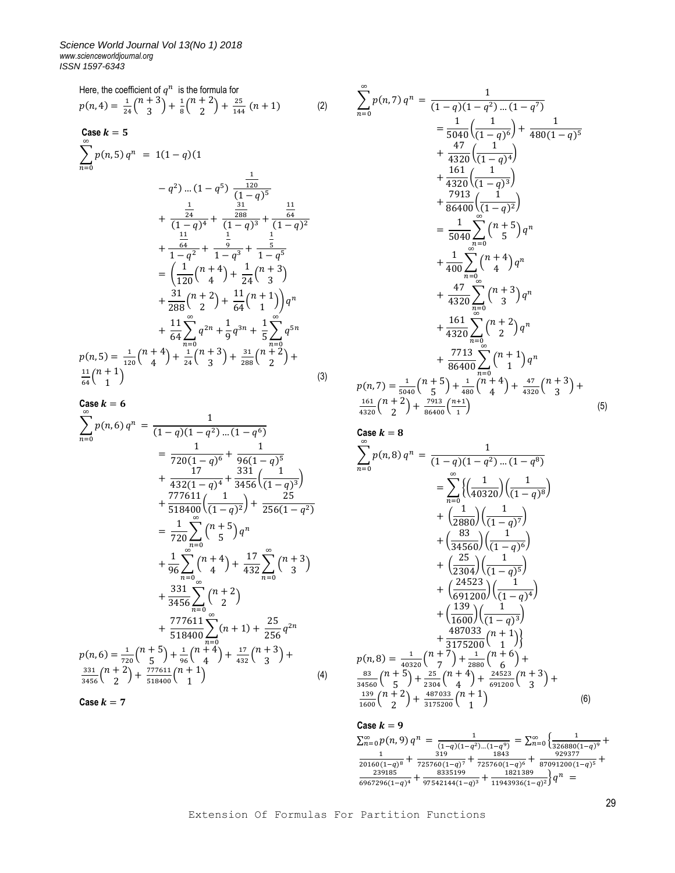Here, the coefficient of 
$$
q^n
$$
 is the formula for  
\n
$$
p(n, 4) = \frac{1}{24} {n+3 \choose 3} + \frac{1}{8} {n+2 \choose 2} + \frac{25}{144} (n+1)
$$
\n
$$
p(n, 5) q^n = 1(1-q)(1
$$
\n
$$
-q^2) ... (1-q^5) \frac{1}{(1-q)^5}
$$
\n
$$
= \frac{1}{5040} \left( \frac{1}{(1-q)^6} \right) + \frac{47}{480} \left( \frac{1}{(1-q)^7} \right)
$$
\n
$$
-q^2) ... (1-q^5) \frac{1}{(1-q)^5}
$$
\n
$$
+ \frac{1}{(1-q)^4} + \frac{1}{(1-q)^3} + \frac{11}{(1-q)^2}
$$
\n
$$
+ \frac{1}{(1-q)^4} + \frac{1}{(1-q)^3} + \frac{11}{(1-q)^2}
$$
\n
$$
+ \frac{1}{1-q^2} + \frac{1}{1-q^3} + \frac{1}{1-q^5}
$$
\n
$$
= \left( \frac{1}{120} {n+4 \choose 4} + \frac{1}{24} {n+3 \choose 3} + \frac{1}{5} \sum_{n=0}^{\infty} q^{5n}
$$
\n
$$
+ \frac{15}{4320} \sum_{n=0}^{\infty} {n+5 \choose 4} q^n
$$
\n
$$
+ \frac{1}{400} \sum_{n=0}^{\infty} {n+5 \choose 5} q^n
$$
\n
$$
+ \frac{1}{400} \sum_{n=0}^{\infty} {n+4 \choose 4} q^n
$$
\n
$$
+ \frac{1}{288} {n+2 \choose 2} + \frac{1}{64} {n+1 \choose 1} q^n
$$
\n
$$
+ \frac{1}{64} \sum_{n=0}^{\infty} q^{2n} + \frac{1}{9} q^{3n} + \frac{1}{5} \sum_{n=0}^{\infty} q^{5n}
$$
\n
$$
p(n, 5) = \frac{1}{120} {n+4 \choose 4} + \frac{1}{24} {n+3 \choose 3} + \frac{31}{288} {n+
$$

Case 
$$
k = 6
$$
  
\n
$$
\sum_{n=0}^{\infty} p(n, 6) q^n = \frac{1}{(1 - q)(1 - q^2) ... (1 - q^6)}
$$
\n
$$
= \frac{1}{720(1 - q)^6} + \frac{1}{96(1 - q)^5}
$$
\n
$$
+ \frac{17}{432(1 - q)^4} + \frac{331}{3456} \left(\frac{1}{(1 - q)^3}\right)
$$
\n
$$
+ \frac{777611}{518400} \left(\frac{1}{(1 - q)^2}\right) + \frac{25}{256(1 - q^2)}
$$
\n
$$
= \frac{1}{720} \sum_{n=0}^{\infty} {n + 5 \choose 4} q^n
$$
\n
$$
+ \frac{1}{96} \sum_{n=0}^{\infty} {n + 4 \choose 4} + \frac{17}{432} \sum_{n=0}^{\infty} {n + 3 \choose 3}
$$
\n
$$
+ \frac{331}{3456} \sum_{n=0}^{\infty} {n + 2 \choose 2}
$$
\n
$$
+ \frac{777611}{518400} \sum_{n=0}^{\infty} (n + 1) + \frac{25}{256} q^{2n}
$$
\n
$$
p(n, 6) = \frac{1}{720} {n + 5 \choose 5} + \frac{1}{96} {n + 4 \choose 4} + \frac{17}{432} {n + 3 \choose 3} + \frac{331}{3456} {n + 2 \choose 2} + \frac{777611}{518400} {n + 1 \choose 1}
$$
\n
$$
\frac{331}{9456} {n + 2 \choose 2} + \frac{777611}{518400} {n + 1 \choose 1}
$$
\n
$$
\tag{4}
$$

Case 
$$
k = 7
$$

$$
+\frac{47}{4320} \left( \frac{1}{(1-q)^4} \right)
$$
  
+ 
$$
\frac{161}{4320} \left( \frac{1}{(1-q)^3} \right)
$$
  
+ 
$$
\frac{7913}{86400} \left( \frac{1}{(1-q)^2} \right)
$$
  
= 
$$
\frac{1}{5040} \sum_{n=0}^{\infty} {n+5 \choose 5} q^n
$$
  
+ 
$$
\frac{1}{400} \sum_{n=0}^{\infty} {n+4 \choose 4} q^n
$$
  
+ 
$$
\frac{47}{4320} \sum_{n=0}^{\infty} {n+3 \choose 3} q^n
$$
  
+ 
$$
\frac{161}{4320} \sum_{n=0}^{\infty} {n+2 \choose 2} q^n
$$
  
+ 
$$
\frac{7713}{86400} \sum_{n=0}^{\infty} {n+1 \choose 1} q^n
$$
  

$$
p(n,7) = \frac{1}{5040} {n+5 \choose 5} + \frac{1}{480} {n+4 \choose 4} + \frac{47}{4320} {n+3 \choose 3} + \frac{161}{4320} {n+2 \choose 2} + \frac{7913}{86400} {n+1 \choose 1}
$$
 (5)

1  $480(1 - q)^5$ 

Case 
$$
k = 8
$$
  
\n
$$
\sum_{n=0}^{\infty} p(n,8) q^n = \frac{1}{(1-q)(1-q^2)...(1-q^8)}
$$
\n
$$
= \sum_{n=0}^{\infty} \left\{ \left( \frac{1}{40320} \right) \left( \frac{1}{(1-q)^8} \right) + \left( \frac{1}{2880} \right) \left( \frac{1}{(1-q)^7} \right) + \left( \frac{83}{34560} \right) \left( \frac{1}{(1-q)^6} \right) + \left( \frac{25}{2304} \right) \left( \frac{1}{(1-q)^5} \right) + \left( \frac{24523}{691200} \right) \left( \frac{1}{(1-q)^4} \right) + \left( \frac{139}{1600} \right) \left( \frac{1}{(1-q)^3} \right) + \left( \frac{487033}{1600} \left( \frac{n+1}{1-q} \right) \right) + \left( \frac{487033}{3175200} \left( \frac{n+1}{1} \right) \right)
$$
\n
$$
p(n,8) = \frac{1}{40320} {n+7 \choose 5} + \frac{28}{2800} {n+6 \choose 6} + \frac{83}{34560} {n+5 \choose 5} + \frac{25}{2304} {n+4 \choose 4} + \frac{24523}{691200} {n+3 \choose 3} + \frac{139}{1600} {n+2 \choose 2} + \frac{487033}{3175200} {n+1 \choose 1}
$$
\n(6)

 $\textsf{Case } k = 9$  $\sum_{n=0}^{\infty} p(n, 9) q^n = \frac{1}{(1-q)(1-q)^n}$  $\frac{1}{(1-q)(1-q^2)...(1-q^9)} = \sum_{n=0}^{\infty} \left\{ \frac{1}{3268800} \right\}$  $\sum_{n=0}^{\infty} \left\{ \frac{1}{326880(1-q)^9} \right. +$ 1  $\frac{1}{20160(1-q)^8} + \frac{319}{725760(1-q)}$  $\frac{319}{725760(1-q)^7} + \frac{1843}{725760(1-q)^5}$  $\frac{1843}{725760(1-q)^6} + \frac{929377}{87091200(1-q)^6}$  $\frac{929377}{87091200(1-q)^5}$  + 239185  $\frac{239185}{6967296(1-q)^4} + \frac{8335199}{97542144(1-q)^4}$  $\frac{8335199}{97542144(1-q)^3} + \frac{1821389}{11943936(1-q)^5}$  $\frac{1821389}{11943936(1-q)^2} q^n =$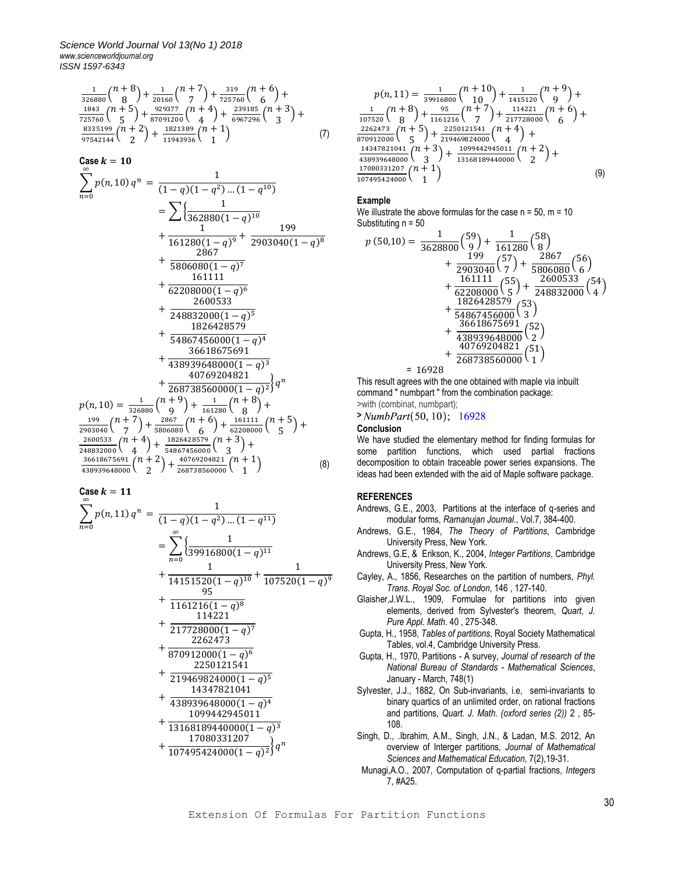$$
\frac{1}{326880} {n+8 \choose 8} + \frac{1}{20160} {n+7 \choose 7} + \frac{319}{725760} {n+6 \choose 6} + \frac{1843}{725760} {n+5 \choose 5} + \frac{929377}{87091200} {n+4 \choose 4} + \frac{239185}{6967296} {n+3 \choose 3} + \frac{8335199}{97542144} {n+2 \choose 2} + \frac{1821389}{11943936} {n+1 \choose 1} \tag{7}
$$

Case 
$$
k = 10
$$
  
\n
$$
\sum_{n=0}^{\infty} p(n, 10) q^n = \frac{1}{(1 - q)(1 - q^2) \dots (1 - q^{10})}
$$
\n
$$
= \sum \left\{ \frac{1}{362880(1 - q)^{10}} + \frac{1}{161280(1 - q)^9} + \frac{199}{2903040(1 - q)^8} + \frac{2867}{5806080(1 - q)^7} + \frac{161111}{62208000(1 - q)^6} + \frac{2600533}{1826428579} + \frac{1826428579}{1826428579} + \frac{1826428579}{436618675691} + \frac{40769204821}{40769204821} + \frac{40769204821}{268738560000(1 - q)^3} + \frac{1}{268738560000(1 - q)^2} q^n
$$
\n
$$
p(n, 10) = \frac{1}{326880} {n + q \choose 9} + \frac{1}{161280} {n + 8 \choose 8} + \frac{199}{2903040} {n + 7 \choose 7} + \frac{2867}{5806080} {n + 6 \choose 6} + \frac{161111}{62208000} {n + 5 \choose 5} + \frac{161867456000}{2208000} {n + 4 \choose 4} + \frac{1826428579}{54867456000} {n + 3 \choose 1} + \frac{36618675691}{568738560000} {n + 1 \choose 1} \qquad (8)
$$

Case 
$$
k = 11
$$

$$
\sum_{n=0}^{\infty} p(n, 11) q^n = \frac{1}{(1-q)(1-q^2)...(1-q^{11})}
$$
\n
$$
= \sum_{n=0}^{\infty} \left\{ \frac{1}{39916800(1-q)^{11}} + \frac{1}{14151520(1-q)^{10}} + \frac{1}{107520(1-q)^{9}} \right\}
$$
\n
$$
+ \frac{95}{1161216(1-q)^{8}}
$$
\n
$$
+ \frac{114221}{217728000(1-q)^{7}}
$$
\n
$$
+ \frac{2262473}{870912000(1-q)^{6}}
$$
\n
$$
+ \frac{2250121541}{219469824000(1-q)^{5}}
$$
\n
$$
+ \frac{14347821041}{438939648000(1-q)^{4}}
$$
\n
$$
+ \frac{1099442945011}{13168189440000(1-q)^{3}}
$$
\n
$$
+ \frac{17080331207}{1707495424000(1-q)^{2}
$$

$$
p(n,11) = \frac{1}{39916800} {n+10 \choose 10} + \frac{1}{1415120} {n+9 \choose 9} + \frac{1}{107520} {n+8 \choose 8} + \frac{95}{1161216} {n+7 \choose 7} + \frac{114221}{217728000} {n+6 \choose 6} + \frac{2262473}{870912000} {n+5 \choose 5} + \frac{2250121541}{219469824000} {n+4 \choose 4} + \frac{14347821041}{438939648000} {n+3 \choose 3} + \frac{1099442945011}{13168189440000} {n+2 \choose 2} + \frac{17080331207}{107495424000} {n+1 \choose 1}
$$
 (9)

# **Example**

We illustrate the above formulas for the case  $n = 50$ ,  $m = 10$ Substituting n = 50

$$
p (50,10) = \frac{1}{3628800} {59 \choose 9} + \frac{1}{161280} {58 \choose 8} + \frac{199}{2903040} {57 \choose 7} + \frac{2867}{5806080} {56 \choose 6} + \frac{161111}{62208000} {55 \choose 5} + \frac{2600533}{248832000} {54 \choose 4} + \frac{1826428579}{362428579} {53 \choose 3} + \frac{36618675691}{36618675691} {52 \choose 2} + \frac{40769204821}{438939648000} {51 \choose 1} = 16928
$$

This result agrees with the one obtained with maple via inbuilt command " numbpart " from the combination package: >with (combinat, numbpart);

$$
\verb|+ NumbPart(50, 10); 16928|\\
$$

### **Conclusion**

We have studied the elementary method for finding formulas for some partition functions, which used partial fractions decomposition to obtain traceable power series expansions. The ideas had been extended with the aid of Maple software package.

# **REFERENCES**

- Andrews, G.E., 2003, Partitions at the interface of q-series and modular forms, *Ramanujan Journal*., Vol.7, 384-400.
- Andrews, G.E., 1984, *The Theory of Partitions*, Cambridge University Press, New York.
- Andrews, G.E, & Erikson, K., 2004, *Integer Partitions*, Cambridge University Press, New York.
- Cayley, A., 1856, Researches on the partition of numbers*, Phyl. Trans. Royal Soc. of London*, 146 , 127-140.
- Glaisher,J.W.L., 1909, Formulae for partitions into given elements, derived from Sylvester's theorem*, Quart, J. Pure Appl. Math*. 40 , 275-348.
- Gupta, H., 1958, *Tables of partitions*, Royal Society Mathematical Tables, vol.4, Cambridge University Press.
- Gupta, H., 1970, Partitions A survey, *Journal of research of the National Bureau of Standards - Mathematical Sciences*, January - March, 748(1)
- Sylvester, J.J., 1882, On Sub-invariants, i.e, semi-invariants to binary quartics of an unlimited order, on rational fractions and partitions*, Quart. J. Math. (oxford series (2))* 2 , 85- 108.
- Singh, D., .Ibrahim, A.M., Singh, J.N., & Ladan, M.S. 2012, An overview of Interger partitions*, Journal of Mathematical Sciences and Mathematical Education*, 7(2),19-31.
- Munagi,A.O., 2007*,* Computation of q-partial fractions, *Integers* 7, #A25.